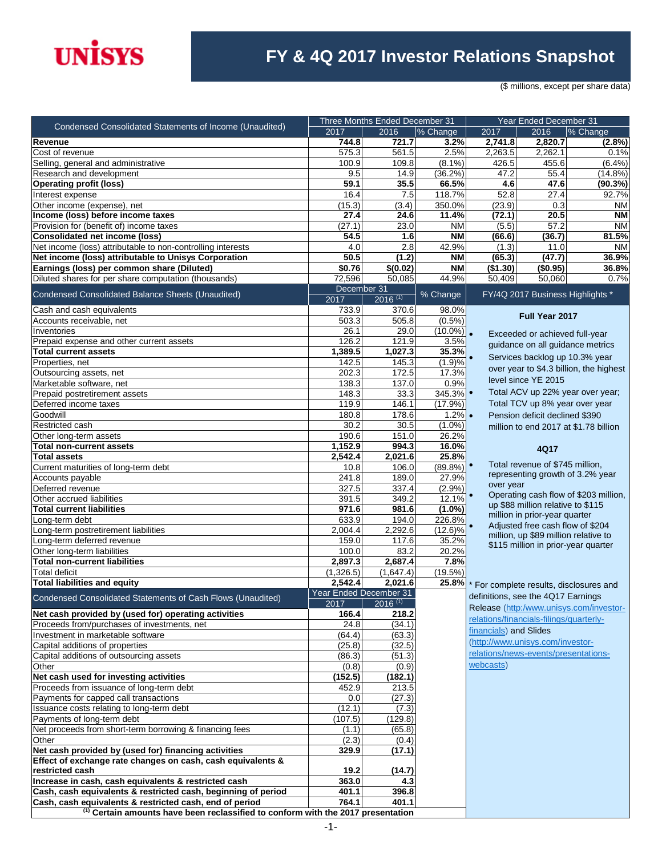

### **FY & 4Q 2017 Investor Relations Snapshot**

(\$ millions, except per share data)

| Condensed Consolidated Statements of Income (Unaudited)                                     | Three Months Ended December 31 |                       |                | Year Ended December 31 |                                         |                                         |
|---------------------------------------------------------------------------------------------|--------------------------------|-----------------------|----------------|------------------------|-----------------------------------------|-----------------------------------------|
|                                                                                             | 2017                           | 2016                  | % Change       | 2017                   | 2016                                    | % Change                                |
| <b>Revenue</b><br>Cost of revenue                                                           | 744.8<br>575.3                 | 721.7<br>561.5        | 3.2%<br>2.5%   | 2,741.8<br>2,263.5     | 2,820.7<br>2,262.1                      | $(2.8\%)$<br>0.1%                       |
| Selling, general and administrative                                                         | 100.9                          | 109.8                 | $(8.1\%)$      | 426.5                  | 455.6                                   | $(6.4\%)$                               |
| Research and development                                                                    | 9.5                            | 14.9                  | (36.2%)        | 47.2                   | 55.4                                    | $(14.8\%)$                              |
| <b>Operating profit (loss)</b>                                                              | 59.1                           | 35.5                  | 66.5%          | 4.6                    | 47.6                                    | (90.3%)                                 |
| Interest expense                                                                            | 16.4                           | 7.5                   | 118.7%         | 52.8                   | 27.4                                    | 92.7%                                   |
| Other income (expense), net                                                                 | (15.3)                         | (3.4)                 | 350.0%         | (23.9)                 | 0.3                                     | <b>NM</b>                               |
| Income (loss) before income taxes                                                           | 27.4                           | 24.6                  | 11.4%          | (72.1)                 | 20.5                                    | <b>NM</b>                               |
| Provision for (benefit of) income taxes                                                     | (27.1)                         | 23.0                  | <b>NM</b>      | (5.5)                  | 57.2                                    | <b>NM</b>                               |
| <b>Consolidated net income (loss)</b>                                                       | 54.5                           | 1.6                   | <b>NM</b>      | (66.6)                 | (36.7)                                  | 81.5%                                   |
| Net income (loss) attributable to non-controlling interests                                 | 4.0                            | 2.8                   | 42.9%          | (1.3)                  | 11.0                                    | <b>NM</b>                               |
| Net income (loss) attributable to Unisys Corporation                                        | 50.5                           | (1.2)                 | <b>NM</b>      | (65.3)                 | (47.7)                                  | 36.9%                                   |
| Earnings (loss) per common share (Diluted)                                                  | \$0.76                         | \$(0.02)              | <b>NM</b>      | (\$1.30)               | (\$0.95)                                | 36.8%                                   |
| Diluted shares for per share computation (thousands)                                        | 72,596                         | 50,085                | 44.9%          | 50,409                 | 50,060                                  | 0.7%                                    |
| Condensed Consolidated Balance Sheets (Unaudited)                                           | December 31<br>2017            | $2016^{(1)}$          | % Change       |                        | FY/4Q 2017 Business Highlights *        |                                         |
| Cash and cash equivalents                                                                   | 733.9                          | 370.6                 | 98.0%          |                        |                                         |                                         |
| Accounts receivable, net                                                                    | 503.3                          | 505.8                 | $(0.5\%)$      |                        | Full Year 2017                          |                                         |
| Inventories                                                                                 | 26.1                           | 29.0                  | $(10.0\%)$ .   |                        | Exceeded or achieved full-year          |                                         |
| Prepaid expense and other current assets                                                    | 126.2                          | 121.9                 | 3.5%           |                        | guidance on all guidance metrics        |                                         |
| <b>Total current assets</b>                                                                 | 1,389.5                        | 1.027.3               | 35.3%          |                        | Services backlog up 10.3% year          |                                         |
| Properties, net                                                                             | 142.5                          | 145.3                 | (1.9)%         |                        |                                         | over year to \$4.3 billion, the highest |
| Outsourcing assets, net                                                                     | 202.3                          | 172.5                 | 17.3%          |                        | level since YE 2015                     |                                         |
| Marketable software, net                                                                    | 138.3                          | 137.0                 | 0.9%           |                        |                                         |                                         |
| Prepaid postretirement assets                                                               | 148.3                          | 33.3                  | 345.3%         |                        |                                         | Total ACV up 22% year over year;        |
| Deferred income taxes                                                                       | 119.9                          | 146.1                 | (17.9%)        |                        | Total TCV up 8% year over year          |                                         |
| Goodwill                                                                                    | 180.8                          | 178.6                 | $1.2\%$        |                        | Pension deficit declined \$390          |                                         |
| Restricted cash                                                                             | 30.2                           | 30.5                  | $(1.0\%)$      |                        |                                         | million to end 2017 at \$1.78 billion   |
| Other long-term assets                                                                      | 190.6                          | 151.0                 | 26.2%          |                        |                                         |                                         |
| <b>Total non-current assets</b><br><b>Total assets</b>                                      | 1,152.9<br>2,542.4             | 994.3<br>2,021.6      | 16.0%<br>25.8% |                        | 4Q17                                    |                                         |
| Current maturities of long-term debt                                                        | 10.8                           | 106.0                 | $(89.8\%)$     |                        | Total revenue of \$745 million,         |                                         |
| Accounts payable                                                                            | 241.8                          | 189.0                 | 27.9%          |                        |                                         | representing growth of 3.2% year        |
| Deferred revenue                                                                            | 327.5                          | 337.4                 | (2.9%)         | over year              |                                         |                                         |
| Other accrued liabilities                                                                   | 391.5                          | 349.2                 | 12.1%          |                        |                                         | Operating cash flow of \$203 million,   |
| <b>Total current liabilities</b>                                                            | 971.6                          | 981.6                 | $(1.0\%)$      |                        | up \$88 million relative to \$115       |                                         |
| Long-term debt                                                                              | 633.9                          | 194.0                 | 226.8%         |                        | million in prior-year quarter           |                                         |
| Long-term postretirement liabilities                                                        | 2,004.4                        | 2,292.6               | $(12.6)\%$     |                        | Adjusted free cash flow of \$204        |                                         |
| Long-term deferred revenue                                                                  | 159.0                          | 117.6                 | 35.2%          |                        | million, up \$89 million relative to    |                                         |
| Other long-term liabilities                                                                 | 100.0                          | 83.2                  | 20.2%          |                        | \$115 million in prior-year quarter     |                                         |
| <b>Total non-current liabilities</b>                                                        | 2,897.3                        | 2,687.4               | 7.8%           |                        |                                         |                                         |
| <b>Total deficit</b>                                                                        | (1,326.5)                      | (1,647.4)             | (19.5%)        |                        |                                         |                                         |
| <b>Total liabilities and equity</b>                                                         | 2,542.4                        | 2,021.6               | 25.8%          |                        |                                         | For complete results, disclosures and   |
| Condensed Consolidated Statements of Cash Flows (Unaudited)                                 | Year Ended December 31         |                       |                |                        | definitions, see the 4Q17 Earnings      |                                         |
|                                                                                             | 2017                           | $2016$ <sup>(1)</sup> |                |                        |                                         | Release (http:/www.unisys.com/investor- |
| Net cash provided by (used for) operating activities                                        | 166.4                          | 218.2                 |                |                        | relations/financials-filings/quarterly- |                                         |
| Proceeds from/purchases of investments, net                                                 | 24.8                           | (34.1)                |                | financials) and Slides |                                         |                                         |
| Investment in marketable software                                                           | (64.4)                         | (63.3)                |                |                        | (http://www.unisys.com/investor-        |                                         |
| Capital additions of properties                                                             | (25.8)                         | (32.5)                |                |                        | relations/news-events/presentations-    |                                         |
| Capital additions of outsourcing assets                                                     | (86.3)                         | (51.3)                |                | webcasts)              |                                         |                                         |
| Other                                                                                       | (0.8)                          | (0.9)                 |                |                        |                                         |                                         |
| Net cash used for investing activities                                                      | (152.5)                        | (182.1)               |                |                        |                                         |                                         |
| Proceeds from issuance of long-term debt<br>Payments for capped call transactions           | 452.9<br>0.0                   | 213.5<br>(27.3)       |                |                        |                                         |                                         |
| Issuance costs relating to long-term debt                                                   | (12.1)                         | (7.3)                 |                |                        |                                         |                                         |
| Payments of long-term debt                                                                  | (107.5)                        | (129.8)               |                |                        |                                         |                                         |
| Net proceeds from short-term borrowing & financing fees                                     | (1.1)                          | (65.8)                |                |                        |                                         |                                         |
| Other                                                                                       | (2.3)                          | (0.4)                 |                |                        |                                         |                                         |
| Net cash provided by (used for) financing activities                                        | 329.9                          | (17.1)                |                |                        |                                         |                                         |
| Effect of exchange rate changes on cash, cash equivalents &                                 |                                |                       |                |                        |                                         |                                         |
| restricted cash                                                                             | 19.2                           | (14.7)                |                |                        |                                         |                                         |
| Increase in cash, cash equivalents & restricted cash                                        | 363.0                          | 4.3                   |                |                        |                                         |                                         |
| Cash, cash equivalents & restricted cash, beginning of period                               | 401.1                          | 396.8                 |                |                        |                                         |                                         |
| Cash, cash equivalents & restricted cash, end of period                                     | 764.1                          | 401.1                 |                |                        |                                         |                                         |
| <sup>(1)</sup> Certain amounts have been reclassified to conform with the 2017 presentation |                                |                       |                |                        |                                         |                                         |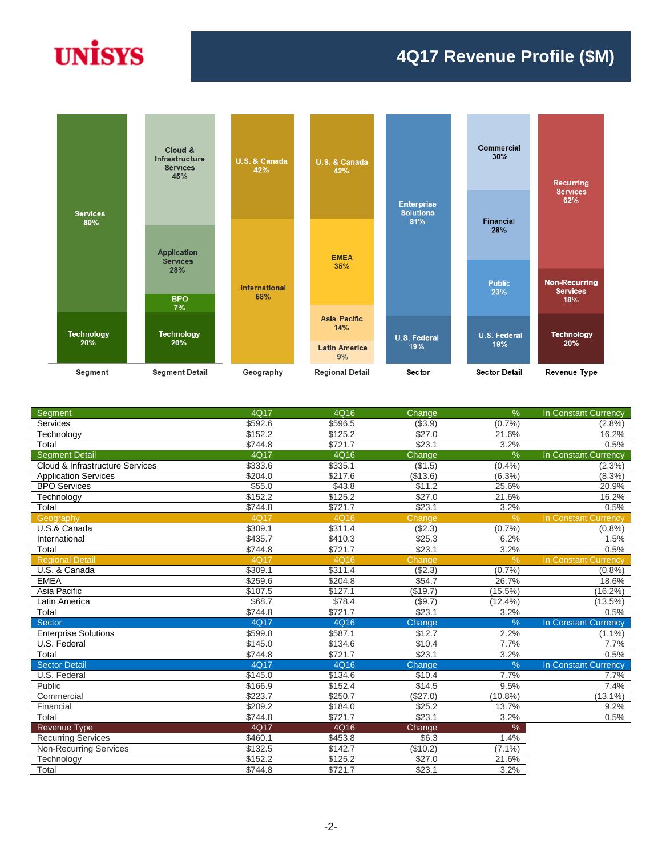# **UNISYS**

#### **4Q17 Revenue Profile (\$M)**



| Segment                         | 4Q17        | 4Q16    | Change          | $\frac{9}{6}$ | In Constant Currency        |
|---------------------------------|-------------|---------|-----------------|---------------|-----------------------------|
| Services                        | \$592.6     | \$596.5 | (\$3.9)         | (0.7%         | $(2.8\%)$                   |
| Technology                      | \$152.2     | \$125.2 | \$27.0          | 21.6%         | 16.2%                       |
| Total                           | \$744.8     | \$721.7 | \$23.1          | 3.2%          | 0.5%                        |
| <b>Segment Detail</b>           | 4Q17        | 4Q16    | Change          | $\%$          | <b>In Constant Currency</b> |
| Cloud & Infrastructure Services | \$333.6     | \$335.1 | (\$1.5)         | (0.4%         | $(2.3\%)$                   |
| <b>Application Services</b>     | \$204.0     | \$217.6 | (\$13.6)        | $(6.3\%)$     | $(8.3\%)$                   |
| <b>BPO Services</b>             | \$55.0      | \$43.8  | \$11.2          | 25.6%         | 20.9%                       |
| Technology                      | \$152.2     | \$125.2 | \$27.0          | 21.6%         | 16.2%                       |
| Total                           | \$744.8     | \$721.7 | \$23.1          | 3.2%          | 0.5%                        |
| Geography                       | <b>4Q17</b> | 4Q16    | Change          | $\%$          | In Constant Currency        |
| U.S.& Canada                    | \$309.1     | \$311.4 | (\$2.3)         | (0.7%         | (0.8%                       |
| International                   | \$435.7     | \$410.3 | \$25.3          | 6.2%          | 1.5%                        |
| Total                           | \$744.8     | \$721.7 | \$23.1          | 3.2%          | 0.5%                        |
| <b>Regional Detail</b>          | <b>4Q17</b> | 4Q16    | Change          | $\frac{9}{6}$ | In Constant Currency        |
| U.S. & Canada                   | \$309.1     | \$311.4 | $(\sqrt{$2.3})$ | (0.7%         | (0.8%                       |
| <b>EMEA</b>                     | \$259.6     | \$204.8 | \$54.7          | 26.7%         | 18.6%                       |
| Asia Pacific                    | \$107.5     | \$127.1 | (\$19.7)        | $(15.5\%)$    | $(16.2\%)$                  |
| Latin America                   | \$68.7      | \$78.4  | (\$9.7)         | (12.4%        | $(13.5\%)$                  |
| Total                           | \$744.8     | \$721.7 | \$23.1          | 3.2%          | 0.5%                        |
| Sector                          | 4Q17        | 4Q16    | Change          | $\frac{9}{6}$ | In Constant Currency        |
| <b>Enterprise Solutions</b>     | \$599.8     | \$587.1 | \$12.7          | 2.2%          | $(1.1\%)$                   |
| U.S. Federal                    | \$145.0     | \$134.6 | \$10.4          | 7.7%          | 7.7%                        |
| Total                           | \$744.8     | \$721.7 | \$23.1          | 3.2%          | 0.5%                        |
| <b>Sector Detail</b>            | 4Q17        | 4Q16    | Change          | $\frac{9}{6}$ | In Constant Currency        |
| U.S. Federal                    | \$145.0     | \$134.6 | \$10.4          | 7.7%          | 7.7%                        |
| Public                          | \$166.9     | \$152.4 | \$14.5          | 9.5%          | 7.4%                        |
| Commercial                      | \$223.7     | \$250.7 | (\$27.0)        | $(10.8\%)$    | $(13.1\%)$                  |
| Financial                       | \$209.2     | \$184.0 | \$25.2          | 13.7%         | 9.2%                        |
| Total                           | \$744.8     | \$721.7 | \$23.1          | 3.2%          | 0.5%                        |
| Revenue Type                    | 4Q17        | 4Q16    | Change          | $\%$          |                             |
| <b>Recurring Services</b>       | \$460.1     | \$453.8 | \$6.3           | 1.4%          |                             |
| <b>Non-Recurring Services</b>   | \$132.5     | \$142.7 | (\$10.2)        | $(7.1\%)$     |                             |
| Technology                      | \$152.2     | \$125.2 | \$27.0          | 21.6%         |                             |
| Total                           | \$744.8     | \$721.7 | \$23.1          | 3.2%          |                             |